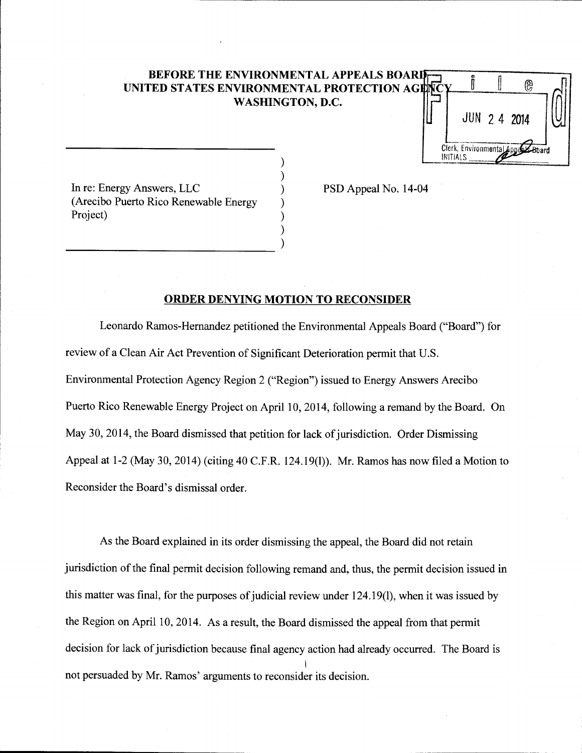## **BEFORE THE ENVIRONMENTAL APPEALS BOARD UNITED STATES ENVIRONMENTAL PROTECTION AGENC WASHINGTON, D.C.**

) ) ) ) ) )

@ JUN 2 4 **<sup>2014</sup>** Clerk, Environmental ard **INITIALS** 

In re: Energy Answers, LLC (Arecibo Puerto Rico Renewable Energy Project)

-------------------------- )

PSD Appeal No. 14-04

### **ORDER DENYING MOTION TO RECONSIDER**

Leonardo Rarnos-Hemandez petitioned the Environmental Appeals Board ("Board") for review of a Clean Air Act Prevention of Significant Deterioration permit that U.S. Environmental Protection Agency Region 2 ("Region") issued to Energy Answers Arecibo Puerto Rico Renewable Energy Project on April 10, 2014, following a remand by the Board. On May 30, 2014, the Board dismissed that petition for lack of jurisdiction. Order Dismissing Appeal at 1-2 (May 30, 2014) (citing 40 C.F.R. 124.19(1)). Mr. Ramos has now filed a Motion to Reconsider the Board's dismissal order.

As the Board explained in its order dismissing the appeal, the Board did not retain jurisdiction of the final permit decision following remand and, thus, the permit decision issued in this matter was final, for the purposes of judicial review under 124.19(1), when it was issued by the Region on April 10, 2014. As a result, the Board dismissed the appeal from that permit decision for lack of jurisdiction because final agency action had already occurred. The Board is I not persuaded by Mr. Ramos' arguments to reconsider its decision.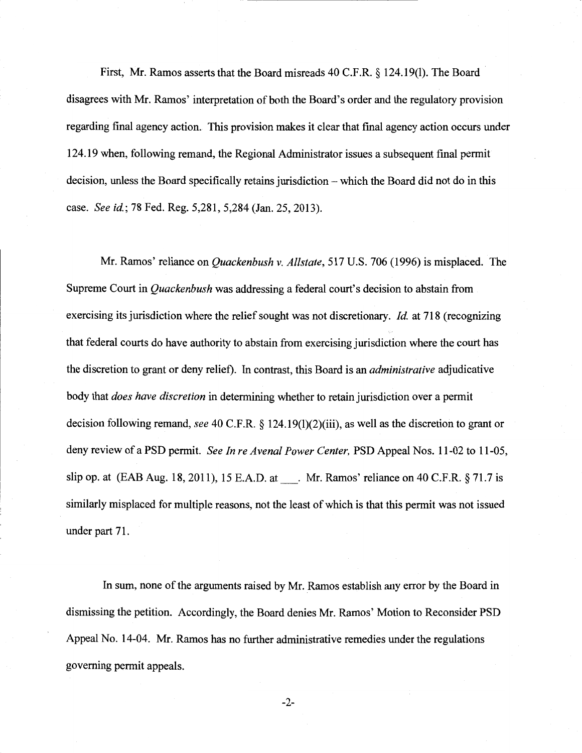First, Mr. Ramos asserts that the Board misreads 40 C.F.R. § 124.19(1). The Board disagrees with Mr. Ramos' interpretation of both the Board's order and the regulatory provision regarding final agency action. This provision makes it clear that final agency action occurs under 124.19 when, following remand, the Regional Administrator issues a subsequent final permit decision, unless the Board specifically retains jurisdiction – which the Board did not do in this case. *See id.;* 78 Fed. Reg. 5,281, 5,284 (Jan. 25, 2013).

Mr. Ramos' reliance on *Quackenbush v. Allstate,* 517 U.S. 706 (1996) is misplaced. The Supreme Court in *Quackenbush* was addressing a federal court's decision to abstain from exercising its jurisdiction where the relief sought was not discretionary. *!d.* at 718 (recognizing that federal courts do have authority to abstain from exercising jurisdiction where the court has the discretion to grant or deny relief). In contrast, this Board is an *administrative* adjudicative body that *does have discretion* in determining whether to retain jurisdiction over a permit decision following remand, *see* 40 C.F.R. § 124.19(1)(2)(iii), as well as the discretion to grant or deny review of a PSD permit. *See In re Avenal Power Center,* PSD Appeal Nos. 11-02 to 11-05, slip op. at (EAB Aug. 18, 2011), 15 E.A.D. at. Mr. Ramos' reliance on 40 C.F.R. § 71.7 is similarly misplaced for multiple reasons, not the least of which is that this permit was not issued under part 71.

In sum, none of the arguments raised by Mr. Ramos establish any error by the Board in dismissing the petition. Accordingly, the Board denies Mr. Ramos' Motion to Reconsider PSD Appeal No. 14-04. Mr. Ramos has no further administrative remedies under the regulations governing permit appeals.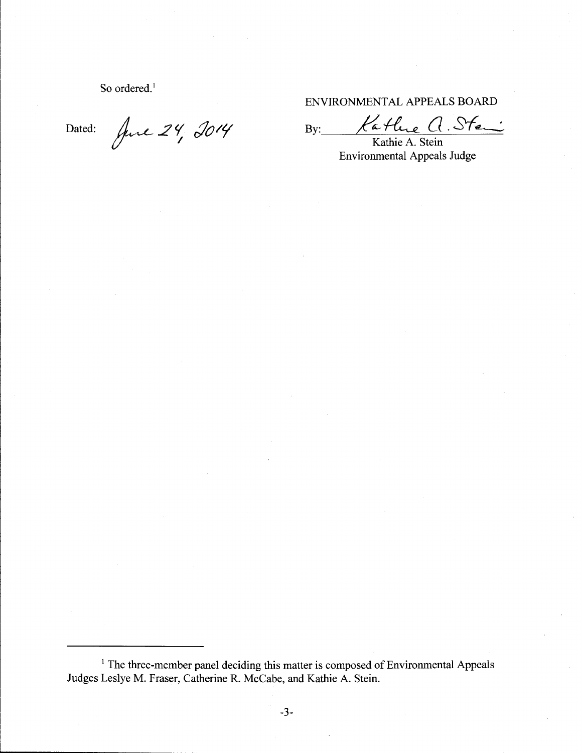So ordered.<sup>1</sup>

ENVIRONMENTAL APPEALS BOARD

Dated: Juic 24, 2014 By: Kathie A. Stein

Environmental Appeals Judge

<sup>&</sup>lt;sup>1</sup> The three-member panel deciding this matter is composed of Environmental Appeals Judges Leslye M. Fraser, Catherine R. McCabe, and Kathie A. Stein.